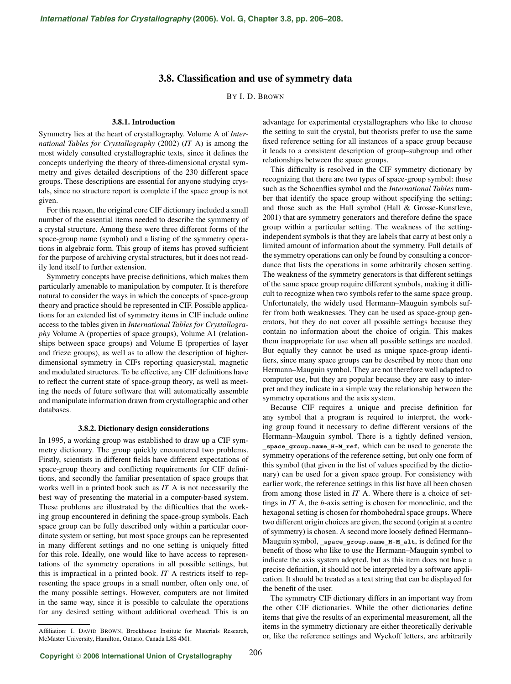# **3.8. Classification and use of symmetry data**

BY I. D. BROWN

### **3.8.1. Introduction**

Symmetry lies at the heart of crystallography. Volume A of *International Tables for Crystallography* (2002) (*IT* A) is among the most widely consulted crystallographic texts, since it defines the concepts underlying the theory of three-dimensional crystal symmetry and gives detailed descriptions of the 230 different space groups. These descriptions are essential for anyone studying crystals, since no structure report is complete if the space group is not given.

For this reason, the original core CIF dictionary included a small number of the essential items needed to describe the symmetry of a crystal structure. Among these were three different forms of the space-group name (symbol) and a listing of the symmetry operations in algebraic form. This group of items has proved sufficient for the purpose of archiving crystal structures, but it does not readily lend itself to further extension.

Symmetry concepts have precise definitions, which makes them particularly amenable to manipulation by computer. It is therefore natural to consider the ways in which the concepts of space-group theory and practice should be represented in CIF. Possible applications for an extended list of symmetry items in CIF include online access to the tables given in *International Tables for Crystallography* Volume A (properties of space groups), Volume A1 (relationships between space groups) and Volume E (properties of layer and frieze groups), as well as to allow the description of higherdimensional symmetry in CIFs reporting quasicrystal, magnetic and modulated structures. To be effective, any CIF definitions have to reflect the current state of space-group theory, as well as meeting the needs of future software that will automatically assemble and manipulate information drawn from crystallographic and other databases.

## **3.8.2. Dictionary design considerations**

In 1995, a working group was established to draw up a CIF symmetry dictionary. The group quickly encountered two problems. Firstly, scientists in different fields have different expectations of space-group theory and conflicting requirements for CIF definitions, and secondly the familiar presentation of space groups that works well in a printed book such as *IT* A is not necessarily the best way of presenting the material in a computer-based system. These problems are illustrated by the difficulties that the working group encountered in defining the space-group symbols. Each space group can be fully described only within a particular coordinate system or setting, but most space groups can be represented in many different settings and no one setting is uniquely fitted for this role. Ideally, one would like to have access to representations of the symmetry operations in all possible settings, but this is impractical in a printed book. *IT* A restricts itself to representing the space groups in a small number, often only one, of the many possible settings. However, computers are not limited in the same way, since it is possible to calculate the operations for any desired setting without additional overhead. This is an

advantage for experimental crystallographers who like to choose the setting to suit the crystal, but theorists prefer to use the same fixed reference setting for all instances of a space group because it leads to a consistent description of group–subgroup and other relationships between the space groups.

This difficulty is resolved in the CIF symmetry dictionary by recognizing that there are two types of space-group symbol: those such as the Schoenflies symbol and the *International Tables* number that identify the space group without specifying the setting; and those such as the Hall symbol (Hall & Grosse-Kunstleve, 2001) that are symmetry generators and therefore define the space group within a particular setting. The weakness of the settingindependent symbols is that they are labels that carry at best only a limited amount of information about the symmetry. Full details of the symmetry operations can only be found by consulting a concordance that lists the operations in some arbitrarily chosen setting. The weakness of the symmetry generators is that different settings of the same space group require different symbols, making it difficult to recognize when two symbols refer to the same space group. Unfortunately, the widely used Hermann–Mauguin symbols suffer from both weaknesses. They can be used as space-group generators, but they do not cover all possible settings because they contain no information about the choice of origin. This makes them inappropriate for use when all possible settings are needed. But equally they cannot be used as unique space-group identifiers, since many space groups can be described by more than one Hermann–Mauguin symbol. They are not therefore well adapted to computer use, but they are popular because they are easy to interpret and they indicate in a simple way the relationship between the symmetry operations and the axis system.

Because CIF requires a unique and precise definition for any symbol that a program is required to interpret, the working group found it necessary to define different versions of the Hermann–Mauguin symbol. There is a tightly defined version, **\_space\_group.name\_H-M\_ref**, which can be used to generate the symmetry operations of the reference setting, but only one form of this symbol (that given in the list of values specified by the dictionary) can be used for a given space group. For consistency with earlier work, the reference settings in this list have all been chosen from among those listed in *IT* A. Where there is a choice of settings in *IT* A, the *b*-axis setting is chosen for monoclinic, and the hexagonal setting is chosen for rhombohedral space groups. Where two different origin choices are given, the second (origin at a centre of symmetry) is chosen. A second more loosely defined Hermann– Mauguin symbol, space group.name H-M alt, is defined for the benefit of those who like to use the Hermann–Mauguin symbol to indicate the axis system adopted, but as this item does not have a precise definition, it should not be interpreted by a software application. It should be treated as a text string that can be displayed for the benefit of the user.

The symmetry CIF dictionary differs in an important way from the other CIF dictionaries. While the other dictionaries define items that give the results of an experimental measurement, all the items in the symmetry dictionary are either theoretically derivable or, like the reference settings and Wyckoff letters, are arbitrarily

Affiliation: I. DAVID BROWN, Brockhouse Institute for Materials Research, McMaster University, Hamilton, Ontario, Canada L8S 4M1.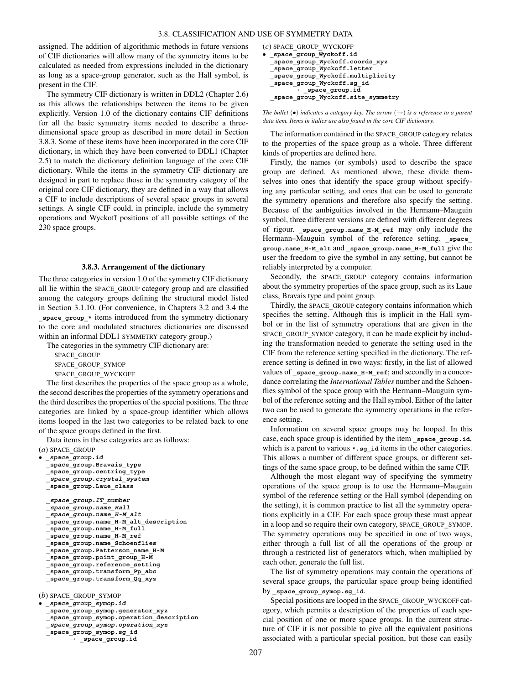assigned. The addition of algorithmic methods in future versions of CIF dictionaries will allow many of the symmetry items to be calculated as needed from expressions included in the dictionary as long as a space-group generator, such as the Hall symbol, is present in the CIF.

The symmetry CIF dictionary is written in DDL2 (Chapter 2.6) as this allows the relationships between the items to be given explicitly. Version 1.0 of the dictionary contains CIF definitions for all the basic symmetry items needed to describe a threedimensional space group as described in more detail in Section 3.8.3. Some of these items have been incorporated in the core CIF dictionary, in which they have been converted to DDL1 (Chapter 2.5) to match the dictionary definition language of the core CIF dictionary. While the items in the symmetry CIF dictionary are designed in part to replace those in the symmetry category of the original core CIF dictionary, they are defined in a way that allows a CIF to include descriptions of several space groups in several settings. A single CIF could, in principle, include the symmetry operations and Wyckoff positions of all possible settings of the 230 space groups.

#### **3.8.3. Arrangement of the dictionary**

The three categories in version 1.0 of the symmetry CIF dictionary all lie within the SPACE**\_**GROUP category group and are classified among the category groups defining the structural model listed in Section 3.1.10. (For convenience, in Chapters 3.2 and 3.4 the **\_space\_group\_\*** items introduced from the symmetry dictionary to the core and modulated structures dictionaries are discussed within an informal DDL1 SYMMETRY category group.)

The categories in the symmetry CIF dictionary are:

SPACE**\_**GROUP

SPACE**\_**GROUP**\_**SYMOP

SPACE**\_**GROUP**\_**WYCKOFF

The first describes the properties of the space group as a whole, the second describes the properties of the symmetry operations and the third describes the properties of the special positions. The three categories are linked by a space-group identifier which allows items looped in the last two categories to be related back to one

Data items in these categories are as follows:

```
of the space groups defined in the first.
(a) SPACE_GROUP
• _space_group.id
  _space_group.Bravais_type
  _space_group.centring_type
  _space_group.crystal_system
  _space_group.Laue_class
  _space_group.IT_number
 _space_group.name_Hall
  _space_group.name_H-M_alt
  _space_group.name_H-M_alt_description
  _space_group.name_H-M_full
  _space_group.name_H-M_ref
  _space_group.name_Schoenflies
  _space_group.Patterson_name_H-M
  _space_group.point_group_H-M
  _space_group.reference_setting
  _space_group.transform_Pp_abc
  _space_group.transform_Qq_xyz
(b) SPACE_GROUP_SYMOP
• _space_group_symop.id
  _space_group_symop.generator_xyz
  _space_group_symop.operation_description
  _space_group_symop.operation_xyz
  _space_group_symop.sg_id
        → _space_group.id
```

```
(c) SPACE_GROUP_WYCKOFF
 • _space_group_Wyckoff.id
   _space_group_Wyckoff.coords_xyz
  _space_group_Wyckoff.letter
 _space_group_Wyckoff.multiplicity
 _space_group_Wyckoff.sg_id
          → _space_group.id
  _space_group_Wyckoff.site_symmetry
```
*The bullet* ( $\bullet$ ) *indicates a category key. The arrow*  $(\rightarrow)$  *is a reference to a parent data item. Items in italics are also found in the core CIF dictionary.*

The information contained in the SPACE**\_**GROUP category relates to the properties of the space group as a whole. Three different kinds of properties are defined here.

Firstly, the names (or symbols) used to describe the space group are defined. As mentioned above, these divide themselves into ones that identify the space group without specifying any particular setting, and ones that can be used to generate the symmetry operations and therefore also specify the setting. Because of the ambiguities involved in the Hermann–Mauguin symbol, three different versions are defined with different degrees of rigour. **\_space\_group.name\_H-M\_ref** may only include the Hermann–Mauguin symbol of the reference setting. space **group.name\_H-M\_alt** and **\_space\_group.name\_H-M\_full** give the user the freedom to give the symbol in any setting, but cannot be reliably interpreted by a computer.

Secondly, the SPACE**\_**GROUP category contains information about the symmetry properties of the space group, such as its Laue class, Bravais type and point group.

Thirdly, the SPACE**\_**GROUP category contains information which specifies the setting. Although this is implicit in the Hall symbol or in the list of symmetry operations that are given in the SPACE**\_**GROUP**\_**SYMOP category, it can be made explicit by including the transformation needed to generate the setting used in the CIF from the reference setting specified in the dictionary. The reference setting is defined in two ways: firstly, in the list of allowed values of space group.name H-M ref; and secondly in a concordance correlating the *International Tables* number and the Schoenflies symbol of the space group with the Hermann–Mauguin symbol of the reference setting and the Hall symbol. Either of the latter two can be used to generate the symmetry operations in the reference setting.

Information on several space groups may be looped. In this case, each space group is identified by the item **\_space\_group.id**, which is a parent to various **\*** . sg id items in the other categories. This allows a number of different space groups, or different settings of the same space group, to be defined within the same CIF.

Although the most elegant way of specifying the symmetry operations of the space group is to use the Hermann–Mauguin symbol of the reference setting or the Hall symbol (depending on the setting), it is common practice to list all the symmetry operations explicitly in a CIF. For each space group these must appear in a loop and so require their own category, SPACE**\_**GROUP**\_**SYMOP. The symmetry operations may be specified in one of two ways, either through a full list of all the operations of the group or through a restricted list of generators which, when multiplied by each other, generate the full list.

The list of symmetry operations may contain the operations of several space groups, the particular space group being identified by **\_space\_group\_symop.sg\_id**.

Special positions are looped in the SPACE**\_**GROUP**\_**WYCKOFF category, which permits a description of the properties of each special position of one or more space groups. In the current structure of CIF it is not possible to give all the equivalent positions associated with a particular special position, but these can easily